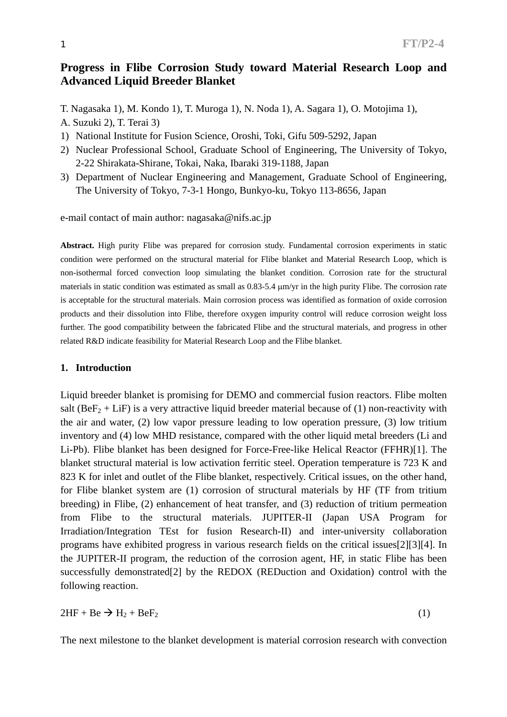# **Progress in Flibe Corrosion Study toward Material Research Loop and Advanced Liquid Breeder Blanket**

T. Nagasaka 1), M. Kondo 1), T. Muroga 1), N. Noda 1), A. Sagara 1), O. Motojima 1),

A. Suzuki 2), T. Terai 3)

- 1) National Institute for Fusion Science, Oroshi, Toki, Gifu 509-5292, Japan
- 2) Nuclear Professional School, Graduate School of Engineering, The University of Tokyo, 2-22 Shirakata-Shirane, Tokai, Naka, Ibaraki 319-1188, Japan
- 3) Department of Nuclear Engineering and Management, Graduate School of Engineering, The University of Tokyo, 7-3-1 Hongo, Bunkyo-ku, Tokyo 113-8656, Japan

e-mail contact of main author: nagasaka@nifs.ac.jp

**Abstract.** High purity Flibe was prepared for corrosion study. Fundamental corrosion experiments in static condition were performed on the structural material for Flibe blanket and Material Research Loop, which is non-isothermal forced convection loop simulating the blanket condition. Corrosion rate for the structural materials in static condition was estimated as small as 0.83-5.4 µm/yr in the high purity Flibe. The corrosion rate is acceptable for the structural materials. Main corrosion process was identified as formation of oxide corrosion products and their dissolution into Flibe, therefore oxygen impurity control will reduce corrosion weight loss further. The good compatibility between the fabricated Flibe and the structural materials, and progress in other related R&D indicate feasibility for Material Research Loop and the Flibe blanket.

#### **1. Introduction**

Liquid breeder blanket is promising for DEMO and commercial fusion reactors. Flibe molten salt (Be $F_2$  + LiF) is a very attractive liquid breeder material because of (1) non-reactivity with the air and water, (2) low vapor pressure leading to low operation pressure, (3) low tritium inventory and (4) low MHD resistance, compared with the other liquid metal breeders (Li and Li-Pb). Flibe blanket has been designed for Force-Free-like Helical Reactor (FFHR)[1]. The blanket structural material is low activation ferritic steel. Operation temperature is 723 K and 823 K for inlet and outlet of the Flibe blanket, respectively. Critical issues, on the other hand, for Flibe blanket system are (1) corrosion of structural materials by HF (TF from tritium breeding) in Flibe, (2) enhancement of heat transfer, and (3) reduction of tritium permeation from Flibe to the structural materials. JUPITER-II (Japan USA Program for Irradiation/Integration TEst for fusion Research-II) and inter-university collaboration programs have exhibited progress in various research fields on the critical issues[2][3][4]. In the JUPITER-II program, the reduction of the corrosion agent, HF, in static Flibe has been successfully demonstrated[2] by the REDOX (REDuction and Oxidation) control with the following reaction.

 $2HF + Be \rightarrow H_2 + BeF_2$  (1)

The next milestone to the blanket development is material corrosion research with convection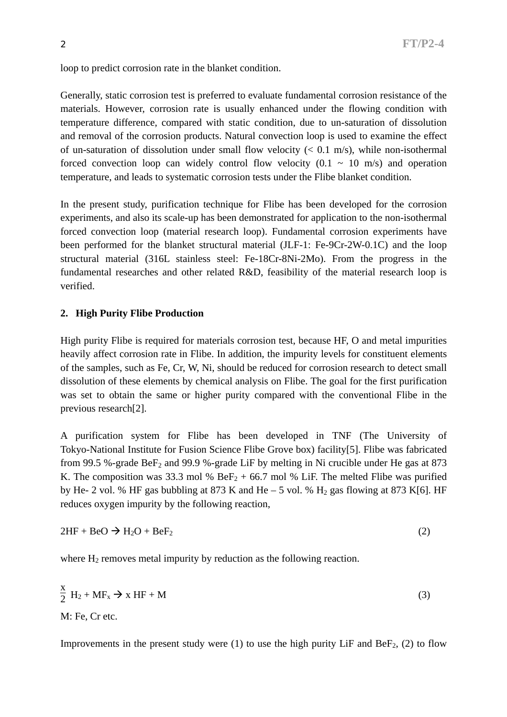loop to predict corrosion rate in the blanket condition.

Generally, static corrosion test is preferred to evaluate fundamental corrosion resistance of the materials. However, corrosion rate is usually enhanced under the flowing condition with temperature difference, compared with static condition, due to un-saturation of dissolution and removal of the corrosion products. Natural convection loop is used to examine the effect of un-saturation of dissolution under small flow velocity  $(< 0.1$  m/s), while non-isothermal forced convection loop can widely control flow velocity  $(0.1 \sim 10 \text{ m/s})$  and operation temperature, and leads to systematic corrosion tests under the Flibe blanket condition.

In the present study, purification technique for Flibe has been developed for the corrosion experiments, and also its scale-up has been demonstrated for application to the non-isothermal forced convection loop (material research loop). Fundamental corrosion experiments have been performed for the blanket structural material (JLF-1: Fe-9Cr-2W-0.1C) and the loop structural material (316L stainless steel: Fe-18Cr-8Ni-2Mo). From the progress in the fundamental researches and other related R&D, feasibility of the material research loop is verified.

## **2. High Purity Flibe Production**

High purity Flibe is required for materials corrosion test, because HF, O and metal impurities heavily affect corrosion rate in Flibe. In addition, the impurity levels for constituent elements of the samples, such as Fe, Cr, W, Ni, should be reduced for corrosion research to detect small dissolution of these elements by chemical analysis on Flibe. The goal for the first purification was set to obtain the same or higher purity compared with the conventional Flibe in the previous research[2].

A purification system for Flibe has been developed in TNF (The University of Tokyo-National Institute for Fusion Science Flibe Grove box) facility[5]. Flibe was fabricated from 99.5 %-grade Be $F_2$  and 99.9 %-grade LiF by melting in Ni crucible under He gas at 873 K. The composition was 33.3 mol %  $BeF_2 + 66.7$  mol % LiF. The melted Flibe was purified by He- 2 vol. % HF gas bubbling at 873 K and He – 5 vol. %  $H_2$  gas flowing at 873 K[6]. HF reduces oxygen impurity by the following reaction,

$$
2HF + BeO \rightarrow H_2O + BeF_2
$$
 (2)

where  $H_2$  removes metal impurity by reduction as the following reaction.

$$
\frac{x}{2} H_2 + MF_x \rightarrow x HF + M
$$
 (3)

M: Fe, Cr etc.

Improvements in the present study were  $(1)$  to use the high purity LiF and BeF<sub>2</sub>,  $(2)$  to flow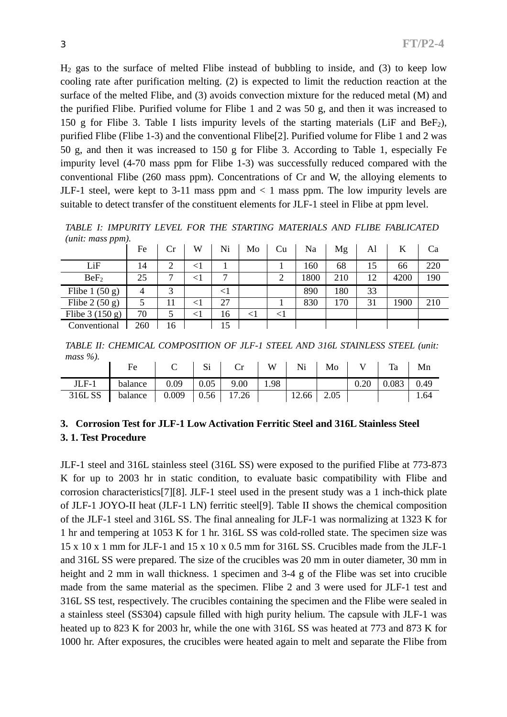$H<sub>2</sub>$  gas to the surface of melted Flibe instead of bubbling to inside, and (3) to keep low cooling rate after purification melting. (2) is expected to limit the reduction reaction at the surface of the melted Flibe, and (3) avoids convection mixture for the reduced metal (M) and the purified Flibe. Purified volume for Flibe 1 and 2 was 50 g, and then it was increased to 150 g for Flibe 3. Table I lists impurity levels of the starting materials (LiF and BeF<sub>2</sub>), purified Flibe (Flibe 1-3) and the conventional Flibe[2]. Purified volume for Flibe 1 and 2 was 50 g, and then it was increased to 150 g for Flibe 3. According to Table 1, especially Fe impurity level (4-70 mass ppm for Flibe 1-3) was successfully reduced compared with the conventional Flibe (260 mass ppm). Concentrations of Cr and W, the alloying elements to JLF-1 steel, were kept to 3-11 mass ppm and  $\lt$  1 mass ppm. The low impurity levels are suitable to detect transfer of the constituent elements for JLF-1 steel in Flibe at ppm level.

*TABLE I: IMPURITY LEVEL FOR THE STARTING MATERIALS AND FLIBE FABLICATED (unit: mass ppm).* 

| . .              | Fe             | Cr                     | W         | Ni             | Mo       | Cu     | Na   | Mg  | Al | K    | Ca  |
|------------------|----------------|------------------------|-----------|----------------|----------|--------|------|-----|----|------|-----|
| LiF              | 14             | $\overline{2}$         | $<$ $\!1$ |                |          |        | 160  | 68  | 15 | 66   | 220 |
| BeF <sub>2</sub> | 25             | ⇁                      | $\leq$    | $\overline{ }$ |          | 2      | 1800 | 210 | 12 | 4200 | 190 |
| Flibe $1(50 g)$  | $\overline{4}$ | $\mathbf{\mathcal{R}}$ |           | $\leq$ 1       |          |        | 890  | 180 | 33 |      |     |
| Flibe $2(50 g)$  | 5              | 11                     | $\leq$ 1  | 27             |          |        | 830  | 170 | 31 | 1900 | 210 |
| Flibe $3(150 g)$ | 70             |                        | ${<}1$    | 16             | $\leq$ 1 | $\leq$ |      |     |    |      |     |
| Conventional     | 260            | 16                     |           | 5              |          |        |      |     |    |      |     |

*TABLE II: CHEMICAL COMPOSITION OF JLF-1 STEEL AND 316L STAINLESS STEEL (unit: mass %).* 

|         | Fe      | ◡     | $\sim$<br>٦Π | ີ     | W    | <b>NT:</b><br>N1 | Mo   |      | Ta    | Mn   |
|---------|---------|-------|--------------|-------|------|------------------|------|------|-------|------|
| $JLF-1$ | balance | 0.09  | 0.05         | 9.00  | 1.98 |                  |      | 0.20 | 0.083 | 0.49 |
| 316L SS | balance | 0.009 | 0.56         | 17.26 |      | 12.66            | 2.05 |      |       | 1.64 |

## **3. Corrosion Test for JLF-1 Low Activation Ferritic Steel and 316L Stainless Steel 3. 1. Test Procedure**

JLF-1 steel and 316L stainless steel (316L SS) were exposed to the purified Flibe at 773-873 K for up to 2003 hr in static condition, to evaluate basic compatibility with Flibe and corrosion characteristics[7][8]. JLF-1 steel used in the present study was a 1 inch-thick plate of JLF-1 JOYO-II heat (JLF-1 LN) ferritic steel[9]. Table II shows the chemical composition of the JLF-1 steel and 316L SS. The final annealing for JLF-1 was normalizing at 1323 K for 1 hr and tempering at 1053 K for 1 hr. 316L SS was cold-rolled state. The specimen size was 15 x 10 x 1 mm for JLF-1 and 15 x 10 x 0.5 mm for 316L SS. Crucibles made from the JLF-1 and 316L SS were prepared. The size of the crucibles was 20 mm in outer diameter, 30 mm in height and 2 mm in wall thickness. 1 specimen and 3-4 g of the Flibe was set into crucible made from the same material as the specimen. Flibe 2 and 3 were used for JLF-1 test and 316L SS test, respectively. The crucibles containing the specimen and the Flibe were sealed in a stainless steel (SS304) capsule filled with high purity helium. The capsule with JLF-1 was heated up to 823 K for 2003 hr, while the one with 316L SS was heated at 773 and 873 K for 1000 hr. After exposures, the crucibles were heated again to melt and separate the Flibe from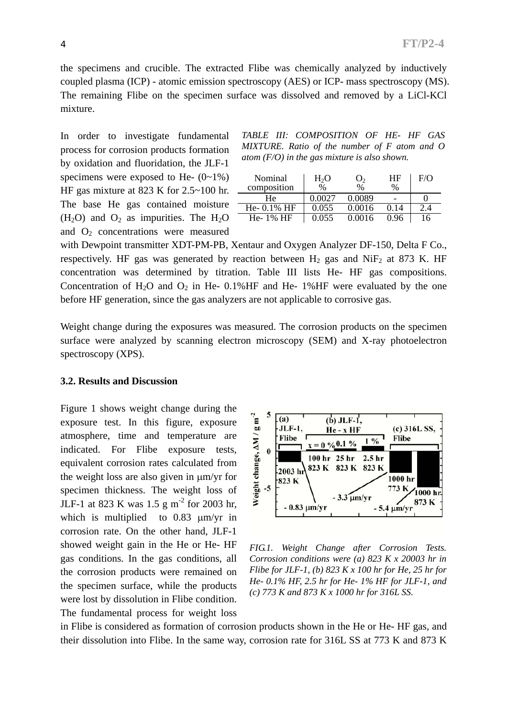the specimens and crucible. The extracted Flibe was chemically analyzed by inductively coupled plasma (ICP) - atomic emission spectroscopy (AES) or ICP- mass spectroscopy (MS). The remaining Flibe on the specimen surface was dissolved and removed by a LiCl-KCl mixture.

In order to investigate fundamental process for corrosion products formation by oxidation and fluoridation, the JLF-1 specimens were exposed to He-  $(0-1\%)$ HF gas mixture at 823 K for 2.5~100 hr. The base He gas contained moisture  $(H<sub>2</sub>O)$  and  $O<sub>2</sub>$  as impurities. The  $H<sub>2</sub>O$ and  $O_2$  concentrations were measured

| TABLE III: COMPOSITION OF HE- HF GAS           |  |  |  |  |
|------------------------------------------------|--|--|--|--|
| MIXTURE. Ratio of the number of F atom and O   |  |  |  |  |
| atom $(F/O)$ in the gas mixture is also shown. |  |  |  |  |

| Nominal<br>composition | $H_2O$<br>$\frac{0}{0}$ | O,<br>$\frac{0}{0}$ | ΗF<br>% | F/O |
|------------------------|-------------------------|---------------------|---------|-----|
| Нe                     | 0.0027                  | 0.0089              |         |     |
| He- $0.1\%$ HF         | 0.055                   | 0.0016              | 0.14    | 2.4 |
| He-1% HF               | 0.055                   | 0.0016              | 0.96    | 16  |

with Dewpoint transmitter XDT-PM-PB, Xentaur and Oxygen Analyzer DF-150, Delta F Co., respectively. HF gas was generated by reaction between  $H_2$  gas and NiF<sub>2</sub> at 873 K. HF concentration was determined by titration. Table III lists He- HF gas compositions. Concentration of  $H_2O$  and  $O_2$  in He- 0.1%HF and He- 1%HF were evaluated by the one before HF generation, since the gas analyzers are not applicable to corrosive gas.

Weight change during the exposures was measured. The corrosion products on the specimen surface were analyzed by scanning electron microscopy (SEM) and X-ray photoelectron spectroscopy (XPS).

#### **3.2. Results and Discussion**

Figure 1 shows weight change during the exposure test. In this figure, exposure atmosphere, time and temperature are indicated. For Flibe exposure tests, equivalent corrosion rates calculated from the weight loss are also given in µm/yr for specimen thickness. The weight loss of JLF-1 at 823 K was 1.5 g m-2 for 2003 hr, which is multiplied to 0.83  $\mu$ m/yr in corrosion rate. On the other hand, JLF-1 showed weight gain in the He or He- HF gas conditions. In the gas conditions, all the corrosion products were remained on the specimen surface, while the products were lost by dissolution in Flibe condition. The fundamental process for weight loss



*FIG.1. Weight Change after Corrosion Tests. Corrosion conditions were (a) 823 K x 20003 hr in Flibe for JLF-1, (b) 823 K x 100 hr for He, 25 hr for He- 0.1% HF, 2.5 hr for He- 1% HF for JLF-1, and (c) 773 K and 873 K x 1000 hr for 316L SS.* 

in Flibe is considered as formation of corrosion products shown in the He or He- HF gas, and their dissolution into Flibe. In the same way, corrosion rate for 316L SS at 773 K and 873 K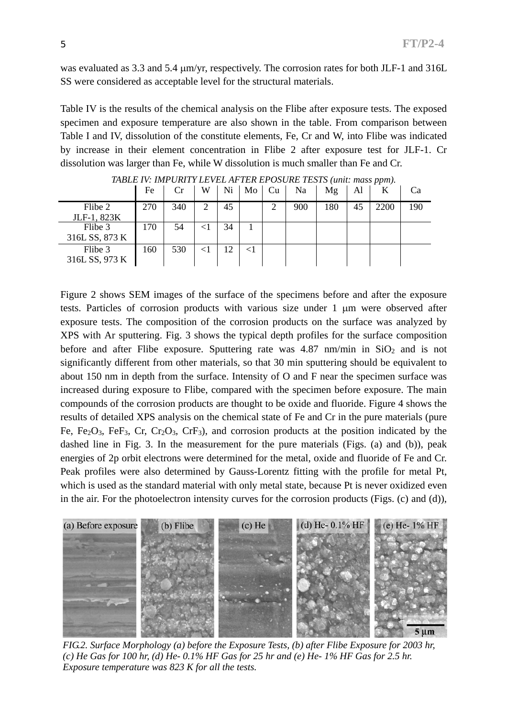was evaluated as 3.3 and 5.4  $\mu$ m/yr, respectively. The corrosion rates for both JLF-1 and 316L SS were considered as acceptable level for the structural materials.

Table IV is the results of the chemical analysis on the Flibe after exposure tests. The exposed specimen and exposure temperature are also shown in the table. From comparison between Table I and IV, dissolution of the constitute elements, Fe, Cr and W, into Flibe was indicated by increase in their element concentration in Flibe 2 after exposure test for JLF-1. Cr dissolution was larger than Fe, while W dissolution is much smaller than Fe and Cr.

|                | Fe  | Cr  | W              | Ni | Mo    | Cu | Na  | Mg  | Al | K    | Ca  |
|----------------|-----|-----|----------------|----|-------|----|-----|-----|----|------|-----|
| Flibe 2        | 270 | 340 | $\overline{2}$ | 45 |       | ◠  | 900 | 180 | 45 | 2200 | 190 |
| JLF-1, 823K    |     |     |                |    |       |    |     |     |    |      |     |
| Flibe 3        | 170 | 54  |                | 34 |       |    |     |     |    |      |     |
| 316L SS, 873 K |     |     |                |    |       |    |     |     |    |      |     |
| Flibe 3        | 160 | 530 |                | 12 | $<$ 1 |    |     |     |    |      |     |
| 316L SS, 973 K |     |     |                |    |       |    |     |     |    |      |     |

*TABLE IV: IMPURITY LEVEL AFTER EPOSURE TESTS (unit: mass ppm).* 

Figure 2 shows SEM images of the surface of the specimens before and after the exposure tests. Particles of corrosion products with various size under 1 µm were observed after exposure tests. The composition of the corrosion products on the surface was analyzed by XPS with Ar sputtering. Fig. 3 shows the typical depth profiles for the surface composition before and after Flibe exposure. Sputtering rate was  $4.87$  nm/min in SiO<sub>2</sub> and is not significantly different from other materials, so that 30 min sputtering should be equivalent to about 150 nm in depth from the surface. Intensity of O and F near the specimen surface was increased during exposure to Flibe, compared with the specimen before exposure. The main compounds of the corrosion products are thought to be oxide and fluoride. Figure 4 shows the results of detailed XPS analysis on the chemical state of Fe and Cr in the pure materials (pure Fe, Fe<sub>2</sub>O<sub>3</sub>, FeF<sub>3</sub>, Cr, Cr<sub>2</sub>O<sub>3</sub>, CrF<sub>3</sub>), and corrosion products at the position indicated by the dashed line in Fig. 3. In the measurement for the pure materials (Figs. (a) and (b)), peak energies of 2p orbit electrons were determined for the metal, oxide and fluoride of Fe and Cr. Peak profiles were also determined by Gauss-Lorentz fitting with the profile for metal Pt, which is used as the standard material with only metal state, because Pt is never oxidized even in the air. For the photoelectron intensity curves for the corrosion products (Figs. (c) and (d)),



*FIG.2. Surface Morphology (a) before the Exposure Tests, (b) after Flibe Exposure for 2003 hr, (c) He Gas for 100 hr, (d) He- 0.1% HF Gas for 25 hr and (e) He- 1% HF Gas for 2.5 hr. Exposure temperature was 823 K for all the tests.*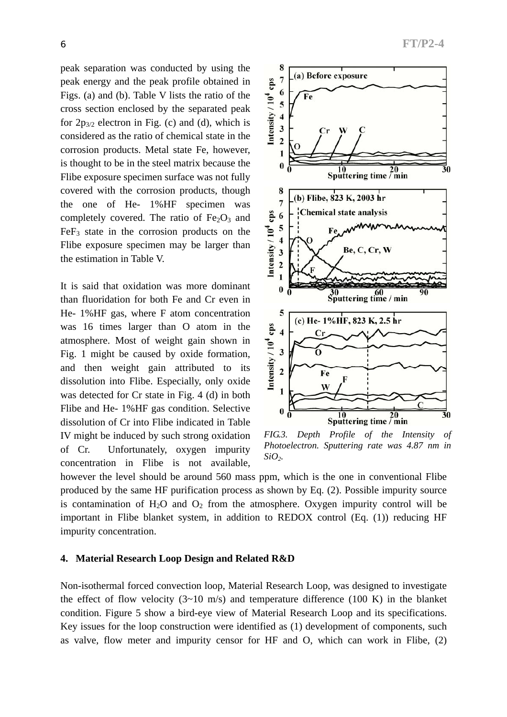peak separation was conducted by using the peak energy and the peak profile obtained in Figs. (a) and (b). Table V lists the ratio of the cross section enclosed by the separated peak for  $2p_{3/2}$  electron in Fig. (c) and (d), which is considered as the ratio of chemical state in the corrosion products. Metal state Fe, however, is thought to be in the steel matrix because the Flibe exposure specimen surface was not fully covered with the corrosion products, though the one of He- 1%HF specimen was completely covered. The ratio of  $Fe<sub>2</sub>O<sub>3</sub>$  and  $FeF<sub>3</sub>$  state in the corrosion products on the Flibe exposure specimen may be larger than the estimation in Table V.

It is said that oxidation was more dominant than fluoridation for both Fe and Cr even in He- 1%HF gas, where F atom concentration was 16 times larger than O atom in the atmosphere. Most of weight gain shown in Fig. 1 might be caused by oxide formation, and then weight gain attributed to its dissolution into Flibe. Especially, only oxide was detected for Cr state in Fig. 4 (d) in both Flibe and He- 1%HF gas condition. Selective dissolution of Cr into Flibe indicated in Table IV might be induced by such strong oxidation of Cr. Unfortunately, oxygen impurity concentration in Flibe is not available,



*FIG.3. Depth Profile of the Intensity of Photoelectron. Sputtering rate was 4.87 nm in SiO2.*

however the level should be around 560 mass ppm, which is the one in conventional Flibe produced by the same HF purification process as shown by Eq. (2). Possible impurity source is contamination of  $H_2O$  and  $O_2$  from the atmosphere. Oxygen impurity control will be important in Flibe blanket system, in addition to REDOX control (Eq. (1)) reducing HF impurity concentration.

## **4. Material Research Loop Design and Related R&D**

Non-isothermal forced convection loop, Material Research Loop, was designed to investigate the effect of flow velocity  $(3{\sim}10 \text{ m/s})$  and temperature difference  $(100 \text{ K})$  in the blanket condition. Figure 5 show a bird-eye view of Material Research Loop and its specifications. Key issues for the loop construction were identified as (1) development of components, such as valve, flow meter and impurity censor for HF and O, which can work in Flibe, (2)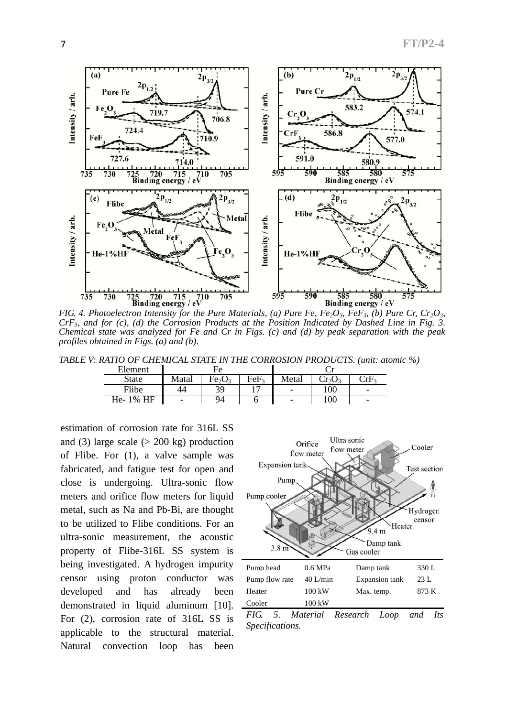

*FIG. 4. Photoelectron Intensity for the Pure Materials, (a) Pure Fe, Fe<sub>2</sub>O<sub>3</sub>, FeF<sub>3</sub>, (b) Pure Cr, Cr<sub>2</sub>O<sub>3</sub>, CrF3, and for (c), (d) the Corrosion Products at the Position Indicated by Dashed Line in Fig. 3. Chemical state was analyzed for Fe and Cr in Figs. (c) and (d) by peak separation with the peak profiles obtained in Figs. (a) and (b).* 

*TABLE V: RATIO OF CHEMICAL STATE IN THE CORROSION PRODUCTS. (unit: atomic %)* 

| Element      |       | Fе                             |                  |                          |                        |                                                      |  |
|--------------|-------|--------------------------------|------------------|--------------------------|------------------------|------------------------------------------------------|--|
| <b>State</b> | Matal | Fe <sub>2</sub> O <sub>3</sub> | FeF <sub>3</sub> | Metal                    | $\mathrm{Cr_{2}O_{3}}$ | $\mathcal{L}_{\mathbf{r}}$ $\mathbf{F}_{\mathbf{r}}$ |  |
| Flibe        | 44    | 39                             |                  | $\overline{\phantom{0}}$ | 100                    | -                                                    |  |
| He-1% HF     | -     | 94                             |                  | $\overline{\phantom{a}}$ | 100                    | -                                                    |  |

estimation of corrosion rate for 316L SS and (3) large scale  $(> 200 \text{ kg})$  production of Flibe. For (1), a valve sample was fabricated, and fatigue test for open and close is undergoing. Ultra-sonic flow meters and orifice flow meters for liquid metal, such as Na and Pb-Bi, are thought to be utilized to Flibe conditions. For an ultra-sonic measurement, the acoustic property of Flibe-316L SS system is being investigated. A hydrogen impurity censor using proton conductor was developed and has already been demonstrated in liquid aluminum [10]. For (2), corrosion rate of 316L SS is applicable to the structural material. Natural convection loop has been



*FIG. 5. Material Research Loop and Its Specifications.*